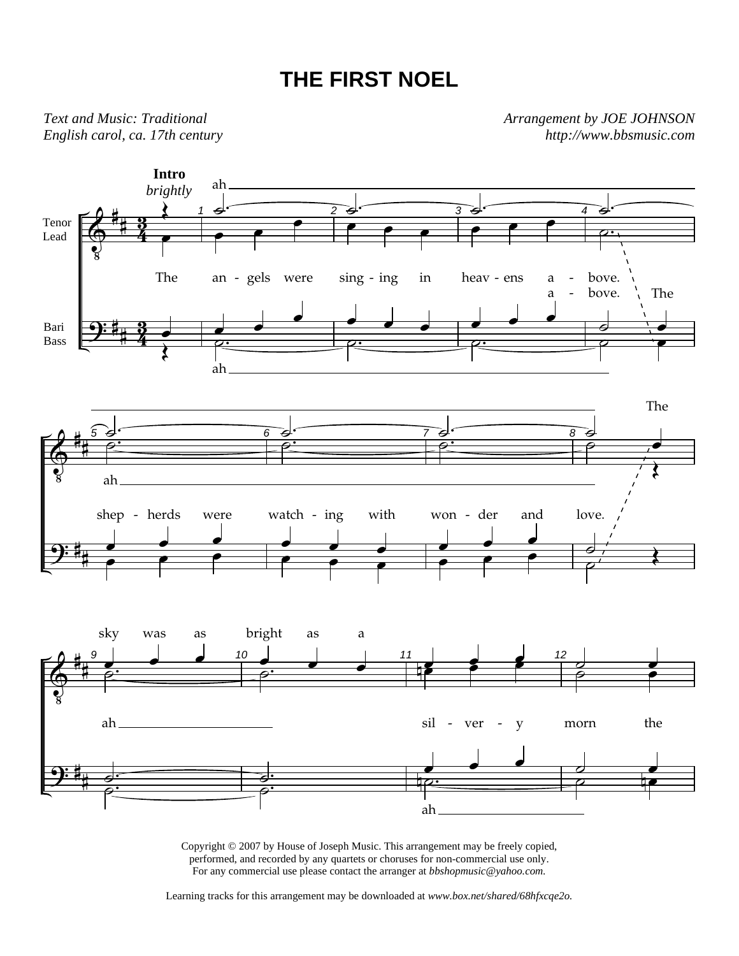## **THE FIRST NOEL**

*Text and Music: Traditional English carol, ca. 17th century*  *Arrangement by JOE JOHNSON http://www.bbsmusic.com* 



Copyright © 2007 by House of Joseph Music. This arrangement may be freely copied, performed, and recorded by any quartets or choruses for non-commercial use only. For any commercial use please contact the arranger at *bbshopmusic@yahoo.com.*

Learning tracks for this arrangement may be downloaded at *www.box.net/shared/68hfxcqe2o.*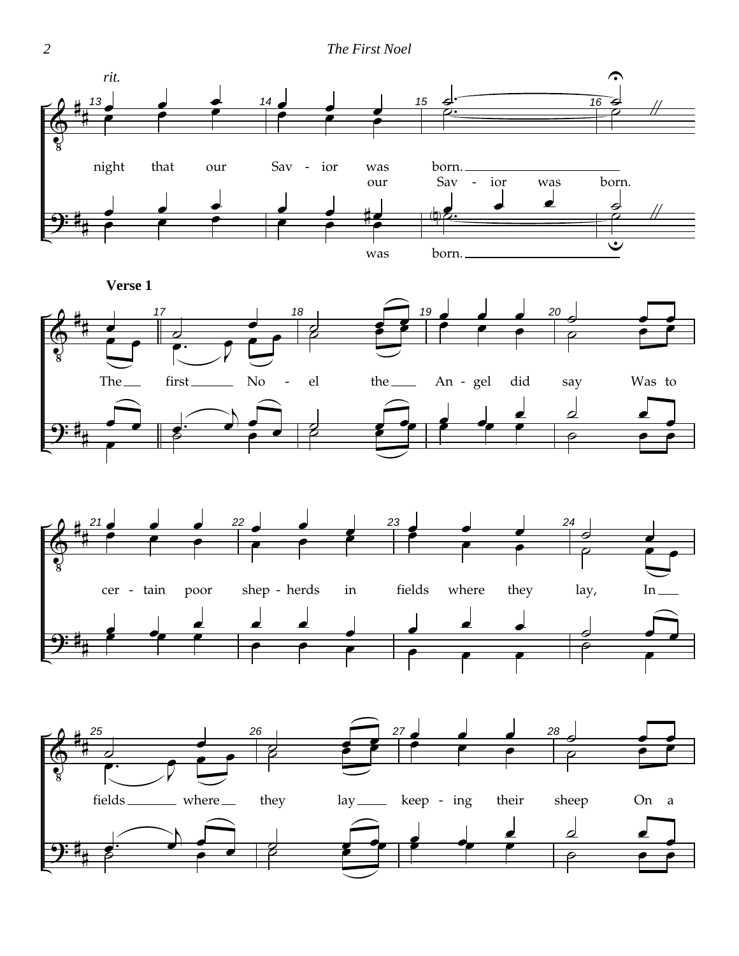

**Verse 1**





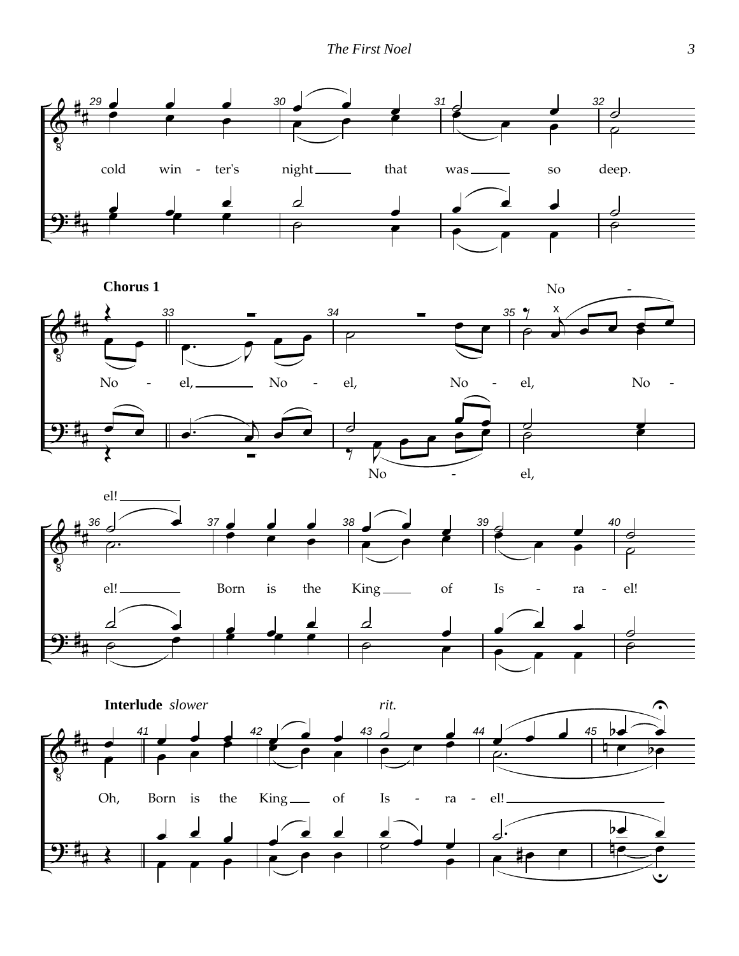





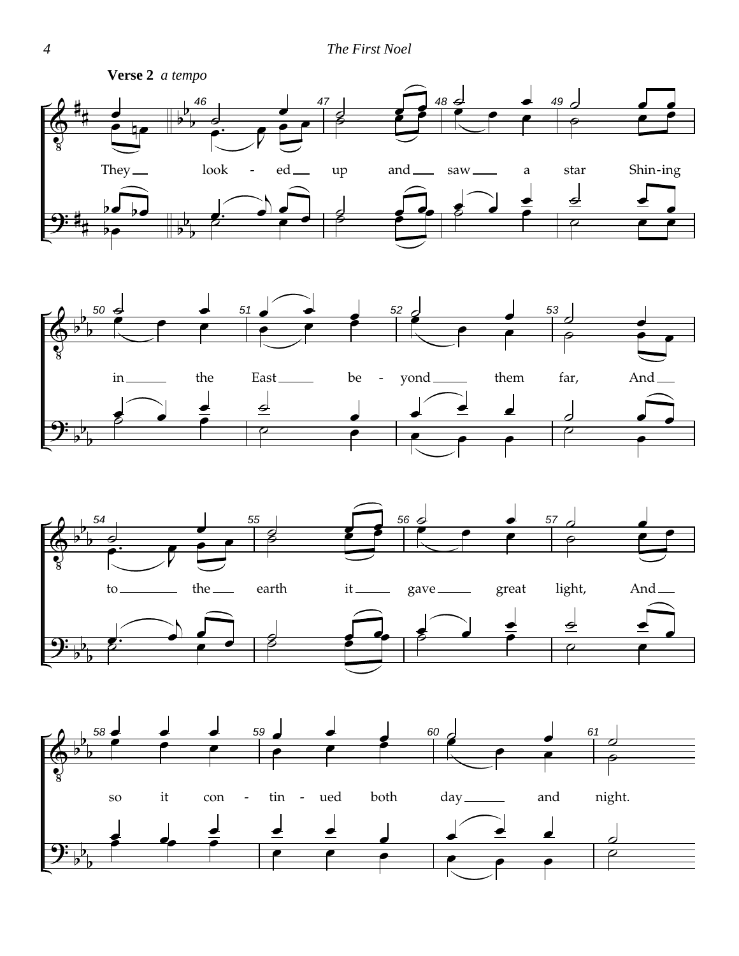